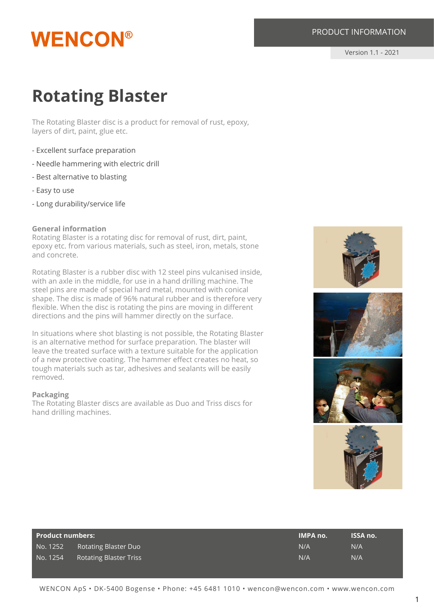# **WENCON®**

# PRODUCT INFORMATION

Version 1.1 - 2021

# **Rotating Blaster**

The Rotating Blaster disc is a product for removal of rust, epoxy, layers of dirt, paint, glue etc.

- Excellent surface preparation
- Needle hammering with electric drill
- Best alternative to blasting
- Easy to use
- Long durability/service life

#### **General information**

Rotating Blaster is a rotating disc for removal of rust, dirt, paint, epoxy etc. from various materials, such as steel, iron, metals, stone and concrete.

Rotating Blaster is a rubber disc with 12 steel pins vulcanised inside, with an axle in the middle, for use in a hand drilling machine. The steel pins are made of special hard metal, mounted with conical shape. The disc is made of 96% natural rubber and is therefore very flexible. When the disc is rotating the pins are moving in different directions and the pins will hammer directly on the surface.

In situations where shot blasting is not possible, the Rotating Blaster is an alternative method for surface preparation. The blaster will leave the treated surface with a texture suitable for the application of a new protective coating. The hammer effect creates no heat, so tough materials such as tar, adhesives and sealants will be easily removed.

#### **Packaging**

The Rotating Blaster discs are available as Duo and Triss discs for hand drilling machines.









| <b>Product numbers:</b> |                               | <b>IMPA no.</b> | <b>ISSA no.</b> |
|-------------------------|-------------------------------|-----------------|-----------------|
| No. 1252                | <b>Rotating Blaster Duo</b>   | N/A             | N/A             |
| No. 1254                | <b>Rotating Blaster Triss</b> | N/A             | N/A             |